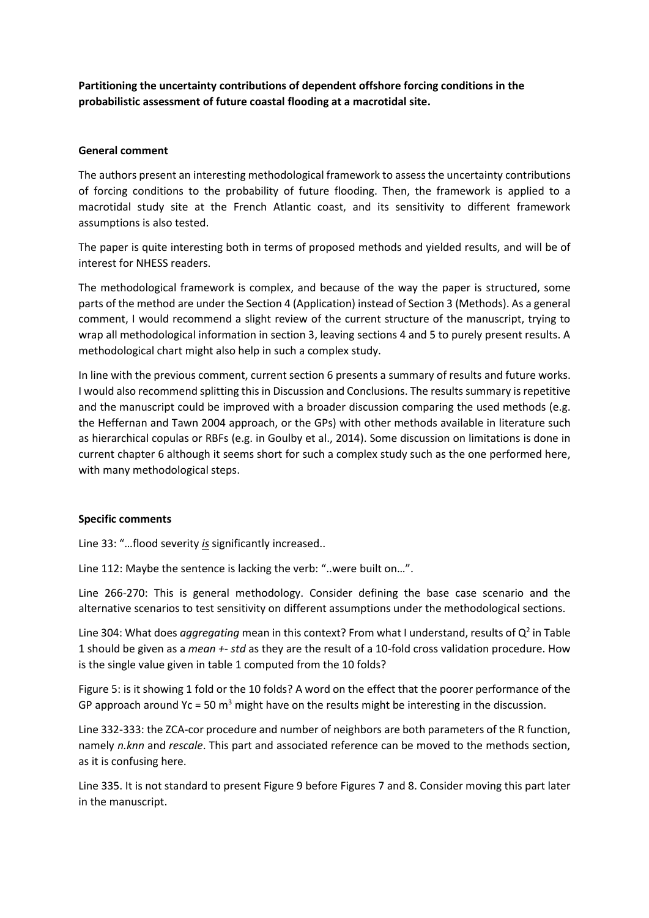**Partitioning the uncertainty contributions of dependent offshore forcing conditions in the probabilistic assessment of future coastal flooding at a macrotidal site.**

## **General comment**

The authors present an interesting methodological framework to assess the uncertainty contributions of forcing conditions to the probability of future flooding. Then, the framework is applied to a macrotidal study site at the French Atlantic coast, and its sensitivity to different framework assumptions is also tested.

The paper is quite interesting both in terms of proposed methods and yielded results, and will be of interest for NHESS readers.

The methodological framework is complex, and because of the way the paper is structured, some parts of the method are under the Section 4 (Application) instead of Section 3 (Methods). As a general comment, I would recommend a slight review of the current structure of the manuscript, trying to wrap all methodological information in section 3, leaving sections 4 and 5 to purely present results. A methodological chart might also help in such a complex study.

In line with the previous comment, current section 6 presents a summary of results and future works. I would also recommend splitting this in Discussion and Conclusions. The results summary is repetitive and the manuscript could be improved with a broader discussion comparing the used methods (e.g. the Heffernan and Tawn 2004 approach, or the GPs) with other methods available in literature such as hierarchical copulas or RBFs (e.g. in Goulby et al., 2014). Some discussion on limitations is done in current chapter 6 although it seems short for such a complex study such as the one performed here, with many methodological steps.

## **Specific comments**

Line 33: "…flood severity *is* significantly increased..

Line 112: Maybe the sentence is lacking the verb: "..were built on…".

Line 266-270: This is general methodology. Consider defining the base case scenario and the alternative scenarios to test sensitivity on different assumptions under the methodological sections.

Line 304: What does *aggregating* mean in this context? From what I understand, results of Q<sup>2</sup> in Table 1 should be given as a *mean +- std* as they are the result of a 10-fold cross validation procedure. How is the single value given in table 1 computed from the 10 folds?

Figure 5: is it showing 1 fold or the 10 folds? A word on the effect that the poorer performance of the GP approach around Yc = 50  $m<sup>3</sup>$  might have on the results might be interesting in the discussion.

Line 332-333: the ZCA-cor procedure and number of neighbors are both parameters of the R function, namely *n.knn* and *rescale*. This part and associated reference can be moved to the methods section, as it is confusing here.

Line 335. It is not standard to present Figure 9 before Figures 7 and 8. Consider moving this part later in the manuscript.